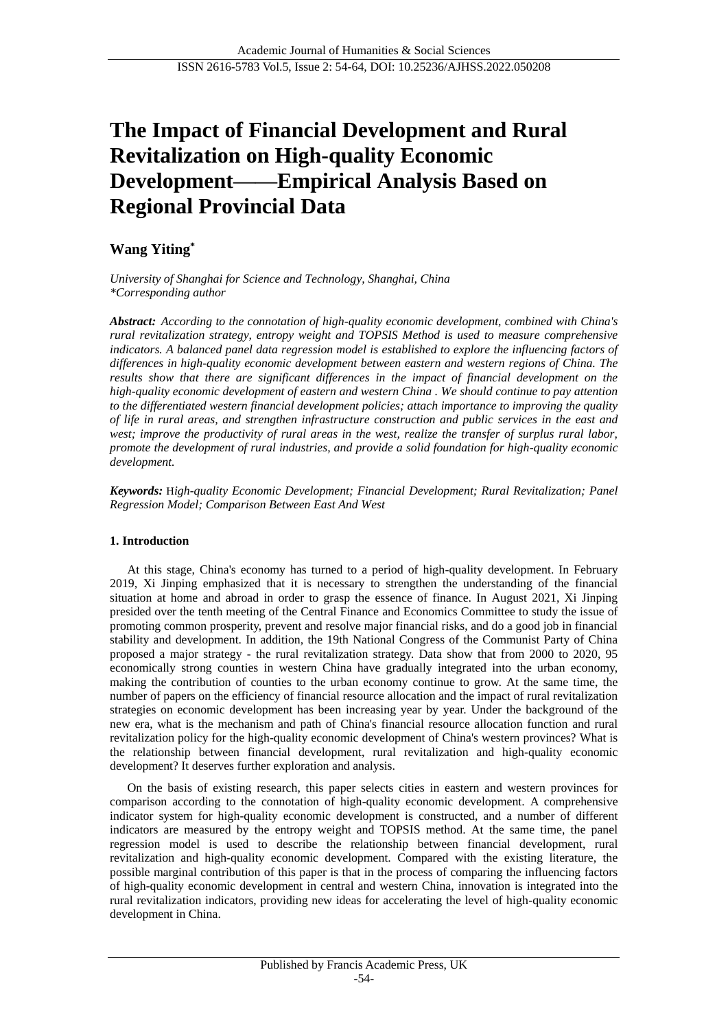# **The Impact of Financial Development and Rural Revitalization on High-quality Economic Development——Empirical Analysis Based on Regional Provincial Data**

# **Wang Yiting\***

*University of Shanghai for Science and Technology, Shanghai, China \*Corresponding author*

*Abstract: According to the connotation of high-quality economic development, combined with China's rural revitalization strategy, entropy weight and TOPSIS Method is used to measure comprehensive indicators. A balanced panel data regression model is established to explore the influencing factors of differences in high-quality economic development between eastern and western regions of China. The results show that there are significant differences in the impact of financial development on the high-quality economic development of eastern and western China . We should continue to pay attention to the differentiated western financial development policies; attach importance to improving the quality of life in rural areas, and strengthen infrastructure construction and public services in the east and west; improve the productivity of rural areas in the west, realize the transfer of surplus rural labor, promote the development of rural industries, and provide a solid foundation for high-quality economic development.*

*Keywords:* H*igh-quality Economic Development; Financial Development; Rural Revitalization; Panel Regression Model; Comparison Between East And West*

# **1. Introduction**

At this stage, China's economy has turned to a period of high-quality development. In February 2019, Xi Jinping emphasized that it is necessary to strengthen the understanding of the financial situation at home and abroad in order to grasp the essence of finance. In August 2021, Xi Jinping presided over the tenth meeting of the Central Finance and Economics Committee to study the issue of promoting common prosperity, prevent and resolve major financial risks, and do a good job in financial stability and development. In addition, the 19th National Congress of the Communist Party of China proposed a major strategy - the rural revitalization strategy. Data show that from 2000 to 2020, 95 economically strong counties in western China have gradually integrated into the urban economy, making the contribution of counties to the urban economy continue to grow. At the same time, the number of papers on the efficiency of financial resource allocation and the impact of rural revitalization strategies on economic development has been increasing year by year. Under the background of the new era, what is the mechanism and path of China's financial resource allocation function and rural revitalization policy for the high-quality economic development of China's western provinces? What is the relationship between financial development, rural revitalization and high-quality economic development? It deserves further exploration and analysis.

On the basis of existing research, this paper selects cities in eastern and western provinces for comparison according to the connotation of high-quality economic development. A comprehensive indicator system for high-quality economic development is constructed, and a number of different indicators are measured by the entropy weight and TOPSIS method. At the same time, the panel regression model is used to describe the relationship between financial development, rural revitalization and high-quality economic development. Compared with the existing literature, the possible marginal contribution of this paper is that in the process of comparing the influencing factors of high-quality economic development in central and western China, innovation is integrated into the rural revitalization indicators, providing new ideas for accelerating the level of high-quality economic development in China.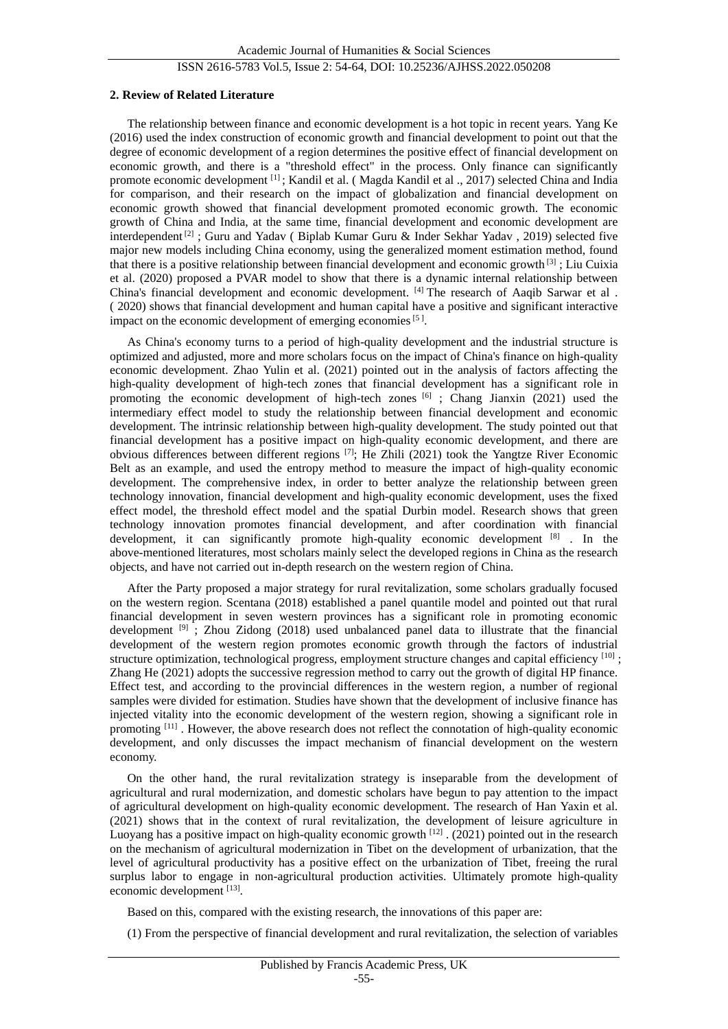## ISSN 2616-5783 Vol.5, Issue 2: 54-64, DOI: 10.25236/AJHSS.2022.050208

#### **2. Review of Related Literature**

The relationship between finance and economic development is a hot topic in recent years. Yang Ke (2016) used the index construction of economic growth and financial development to point out that the degree of economic development of a region determines the positive effect of financial development on economic growth, and there is a "threshold effect" in the process. Only finance can significantly promote economic development [1]; Kandil et al. (Magda Kandil et al., 2017) selected China and India for comparison, and their research on the impact of globalization and financial development on economic growth showed that financial development promoted economic growth. The economic growth of China and India, at the same time, financial development and economic development are interdependent  $[2]$ : Guru and Yadav ( Biplab Kumar Guru & Inder Sekhar Yadav, 2019) selected five major new models including China economy, using the generalized moment estimation method, found that there is a positive relationship between financial development and economic growth [3] ; Liu Cuixia et al. (2020) proposed a PVAR model to show that there is a dynamic internal relationship between China's financial development and economic development. [4] The research of Aaqib Sarwar et al . ( 2020) shows that financial development and human capital have a positive and significant interactive impact on the economic development of emerging economies<sup>[5]</sup>.

As China's economy turns to a period of high-quality development and the industrial structure is optimized and adjusted, more and more scholars focus on the impact of China's finance on high-quality economic development. Zhao Yulin et al. (2021) pointed out in the analysis of factors affecting the high-quality development of high-tech zones that financial development has a significant role in promoting the economic development of high-tech zones  $[6]$ ; Chang Jianxin (2021) used the intermediary effect model to study the relationship between financial development and economic development. The intrinsic relationship between high-quality development. The study pointed out that financial development has a positive impact on high-quality economic development, and there are obvious differences between different regions [7]; He Zhili (2021) took the Yangtze River Economic Belt as an example, and used the entropy method to measure the impact of high-quality economic development. The comprehensive index, in order to better analyze the relationship between green technology innovation, financial development and high-quality economic development, uses the fixed effect model, the threshold effect model and the spatial Durbin model. Research shows that green technology innovation promotes financial development, and after coordination with financial development, it can significantly promote high-quality economic development [8] . In the above-mentioned literatures, most scholars mainly select the developed regions in China as the research objects, and have not carried out in-depth research on the western region of China.

After the Party proposed a major strategy for rural revitalization, some scholars gradually focused on the western region. Scentana (2018) established a panel quantile model and pointed out that rural financial development in seven western provinces has a significant role in promoting economic development  $[9]$ ; Zhou Zidong (2018) used unbalanced panel data to illustrate that the financial development of the western region promotes economic growth through the factors of industrial structure optimization, technological progress, employment structure changes and capital efficiency  $[10]$ ; Zhang He (2021) adopts the successive regression method to carry out the growth of digital HP finance. Effect test, and according to the provincial differences in the western region, a number of regional samples were divided for estimation. Studies have shown that the development of inclusive finance has injected vitality into the economic development of the western region, showing a significant role in promoting [11] . However, the above research does not reflect the connotation of high-quality economic development, and only discusses the impact mechanism of financial development on the western economy.

On the other hand, the rural revitalization strategy is inseparable from the development of agricultural and rural modernization, and domestic scholars have begun to pay attention to the impact of agricultural development on high-quality economic development. The research of Han Yaxin et al. (2021) shows that in the context of rural revitalization, the development of leisure agriculture in Luoyang has a positive impact on high-quality economic growth [12] . (2021) pointed out in the research on the mechanism of agricultural modernization in Tibet on the development of urbanization, that the level of agricultural productivity has a positive effect on the urbanization of Tibet, freeing the rural surplus labor to engage in non-agricultural production activities. Ultimately promote high-quality economic development [13].

Based on this, compared with the existing research, the innovations of this paper are:

(1) From the perspective of financial development and rural revitalization, the selection of variables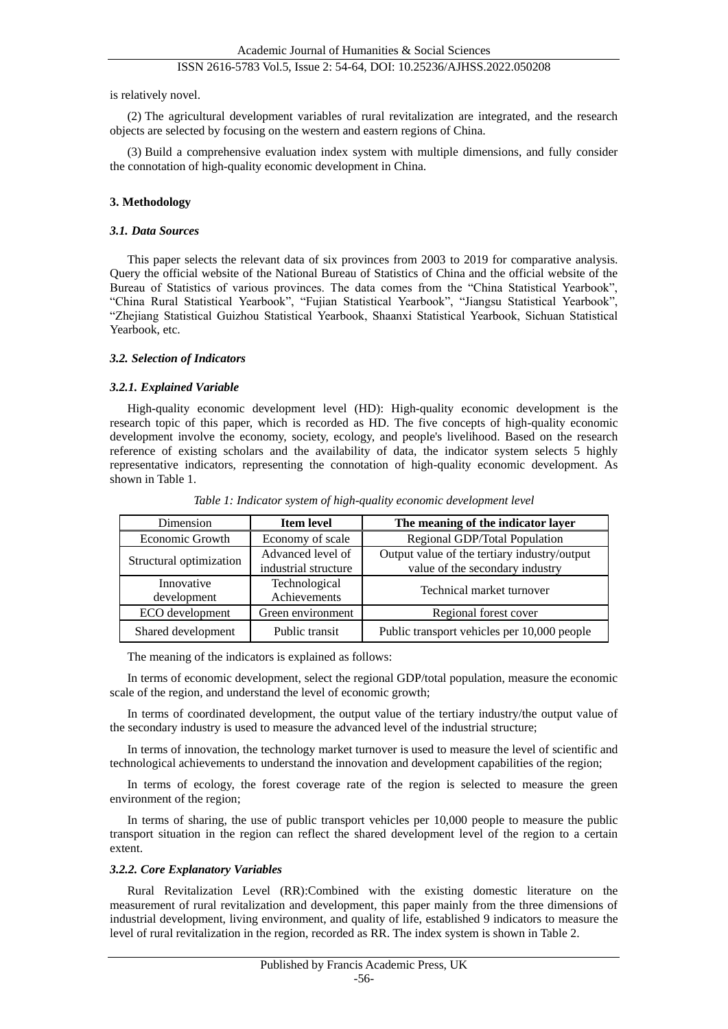# ISSN 2616-5783 Vol.5, Issue 2: 54-64, DOI: 10.25236/AJHSS.2022.050208

is relatively novel.

(2) The agricultural development variables of rural revitalization are integrated, and the research objects are selected by focusing on the western and eastern regions of China.

(3) Build a comprehensive evaluation index system with multiple dimensions, and fully consider the connotation of high-quality economic development in China.

#### **3. Methodology**

#### *3.1. Data Sources*

This paper selects the relevant data of six provinces from 2003 to 2019 for comparative analysis. Query the official website of the National Bureau of Statistics of China and the official website of the Bureau of Statistics of various provinces. The data comes from the "China Statistical Yearbook", "China Rural Statistical Yearbook", "Fujian Statistical Yearbook", "Jiangsu Statistical Yearbook", "Zhejiang Statistical Guizhou Statistical Yearbook, Shaanxi Statistical Yearbook, Sichuan Statistical Yearbook, etc.

#### *3.2. Selection of Indicators*

#### *3.2.1. Explained Variable*

High-quality economic development level (HD): High-quality economic development is the research topic of this paper, which is recorded as HD. The five concepts of high-quality economic development involve the economy, society, ecology, and people's livelihood. Based on the research reference of existing scholars and the availability of data, the indicator system selects 5 highly representative indicators, representing the connotation of high-quality economic development. As shown in Table 1.

| Dimension               | <b>Item level</b>    | The meaning of the indicator layer           |  |
|-------------------------|----------------------|----------------------------------------------|--|
| Economic Growth         | Economy of scale     | Regional GDP/Total Population                |  |
| Structural optimization | Advanced level of    | Output value of the tertiary industry/output |  |
|                         | industrial structure | value of the secondary industry              |  |
| Innovative              | Technological        | Technical market turnover                    |  |
| development             | Achievements         |                                              |  |
| ECO development         | Green environment    | Regional forest cover                        |  |
| Shared development      | Public transit       | Public transport vehicles per 10,000 people  |  |

*Table 1: Indicator system of high-quality economic development level*

The meaning of the indicators is explained as follows:

In terms of economic development, select the regional GDP/total population, measure the economic scale of the region, and understand the level of economic growth;

In terms of coordinated development, the output value of the tertiary industry/the output value of the secondary industry is used to measure the advanced level of the industrial structure;

In terms of innovation, the technology market turnover is used to measure the level of scientific and technological achievements to understand the innovation and development capabilities of the region;

In terms of ecology, the forest coverage rate of the region is selected to measure the green environment of the region;

In terms of sharing, the use of public transport vehicles per 10,000 people to measure the public transport situation in the region can reflect the shared development level of the region to a certain extent.

#### *3.2.2. Core Explanatory Variables*

Rural Revitalization Level (RR):Combined with the existing domestic literature on the measurement of rural revitalization and development, this paper mainly from the three dimensions of industrial development, living environment, and quality of life, established 9 indicators to measure the level of rural revitalization in the region, recorded as RR. The index system is shown in Table 2.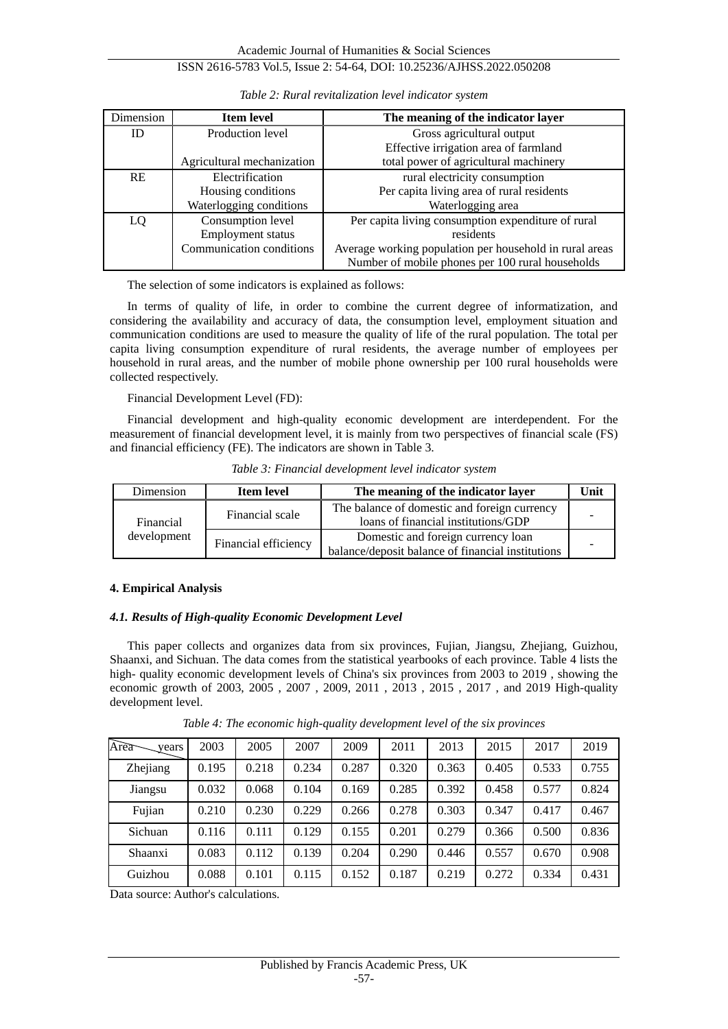# ISSN 2616-5783 Vol.5, Issue 2: 54-64, DOI: 10.25236/AJHSS.2022.050208

| <b>Dimension</b> | <b>Item level</b>          | The meaning of the indicator layer                      |
|------------------|----------------------------|---------------------------------------------------------|
| ID               | Production level           | Gross agricultural output                               |
|                  |                            | Effective irrigation area of farmland                   |
|                  | Agricultural mechanization | total power of agricultural machinery                   |
| <b>RE</b>        | Electrification            | rural electricity consumption                           |
|                  | Housing conditions         | Per capita living area of rural residents               |
|                  | Waterlogging conditions    | Waterlogging area                                       |
| LQ               | Consumption level          | Per capita living consumption expenditure of rural      |
|                  | <b>Employment</b> status   | residents                                               |
|                  | Communication conditions   | Average working population per household in rural areas |
|                  |                            | Number of mobile phones per 100 rural households        |

*Table 2: Rural revitalization level indicator system*

The selection of some indicators is explained as follows:

In terms of quality of life, in order to combine the current degree of informatization, and considering the availability and accuracy of data, the consumption level, employment situation and communication conditions are used to measure the quality of life of the rural population. The total per capita living consumption expenditure of rural residents, the average number of employees per household in rural areas, and the number of mobile phone ownership per 100 rural households were collected respectively.

Financial Development Level (FD):

Financial development and high-quality economic development are interdependent. For the measurement of financial development level, it is mainly from two perspectives of financial scale (FS) and financial efficiency (FE). The indicators are shown in Table 3.

|  | Table 3: Financial development level indicator system |  |  |
|--|-------------------------------------------------------|--|--|

| Dimension   | <b>Item level</b>    | The meaning of the indicator layer                                                      | Unit |
|-------------|----------------------|-----------------------------------------------------------------------------------------|------|
| Financial   | Financial scale      | The balance of domestic and foreign currency<br>loans of financial institutions/GDP     |      |
| development | Financial efficiency | Domestic and foreign currency loan<br>balance/deposit balance of financial institutions |      |

# **4. Empirical Analysis**

# *4.1. Results of High-quality Economic Development Level*

This paper collects and organizes data from six provinces, Fujian, Jiangsu, Zhejiang, Guizhou, Shaanxi, and Sichuan. The data comes from the statistical yearbooks of each province. Table 4 lists the high- quality economic development levels of China's six provinces from 2003 to 2019 , showing the economic growth of 2003, 2005 , 2007 , 2009, 2011 , 2013 , 2015 , 2017 , and 2019 High-quality development level.

| Area<br>years | 2003  | 2005  | 2007  | 2009  | 2011  | 2013  | 2015  | 2017  | 2019  |
|---------------|-------|-------|-------|-------|-------|-------|-------|-------|-------|
| Zhejiang      | 0.195 | 0.218 | 0.234 | 0.287 | 0.320 | 0.363 | 0.405 | 0.533 | 0.755 |
| Jiangsu       | 0.032 | 0.068 | 0.104 | 0.169 | 0.285 | 0.392 | 0.458 | 0.577 | 0.824 |
| Fujian        | 0.210 | 0.230 | 0.229 | 0.266 | 0.278 | 0.303 | 0.347 | 0.417 | 0.467 |
| Sichuan       | 0.116 | 0.111 | 0.129 | 0.155 | 0.201 | 0.279 | 0.366 | 0.500 | 0.836 |
| Shaanxi       | 0.083 | 0.112 | 0.139 | 0.204 | 0.290 | 0.446 | 0.557 | 0.670 | 0.908 |
| Guizhou       | 0.088 | 0.101 | 0.115 | 0.152 | 0.187 | 0.219 | 0.272 | 0.334 | 0.431 |

*Table 4: The economic high-quality development level of the six provinces*

Data source: Author's calculations.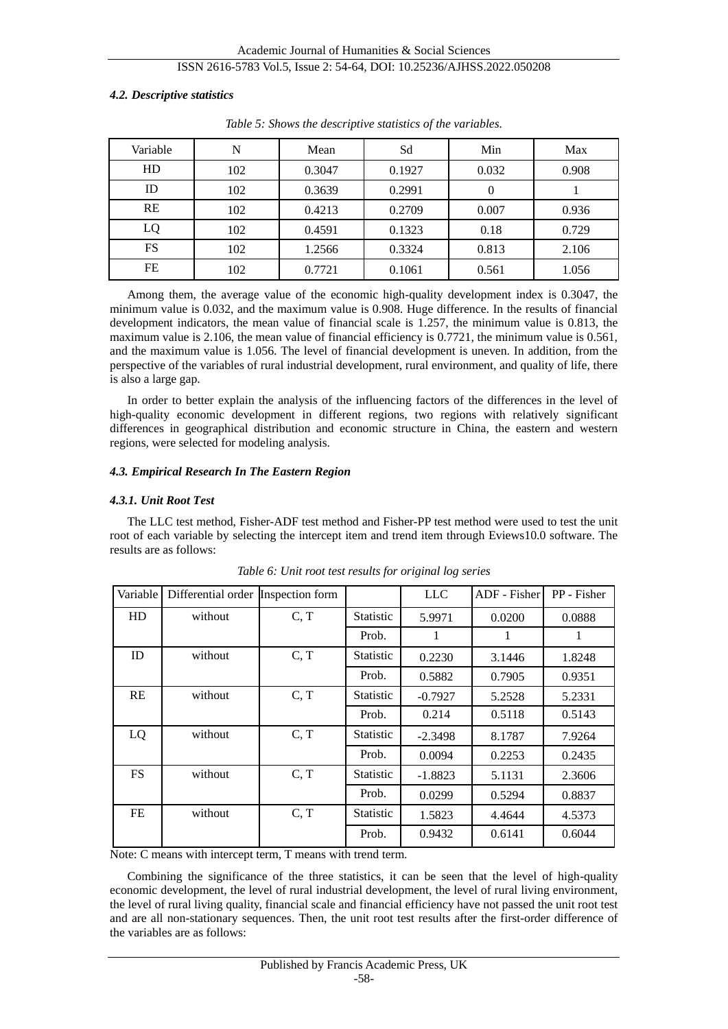#### *4.2. Descriptive statistics*

| Variable  | N   | Mean   | Sd     | Min   | Max   |
|-----------|-----|--------|--------|-------|-------|
| HD        | 102 | 0.3047 | 0.1927 | 0.032 | 0.908 |
| ID        | 102 | 0.3639 | 0.2991 | 0     |       |
| <b>RE</b> | 102 | 0.4213 | 0.2709 | 0.007 | 0.936 |
| LQ        | 102 | 0.4591 | 0.1323 | 0.18  | 0.729 |
| FS        | 102 | 1.2566 | 0.3324 | 0.813 | 2.106 |
| FE        | 102 | 0.7721 | 0.1061 | 0.561 | 1.056 |

*Table 5: Shows the descriptive statistics of the variables.*

Among them, the average value of the economic high-quality development index is 0.3047, the minimum value is 0.032, and the maximum value is 0.908. Huge difference. In the results of financial development indicators, the mean value of financial scale is 1.257, the minimum value is 0.813, the maximum value is 2.106, the mean value of financial efficiency is 0.7721, the minimum value is 0.561, and the maximum value is 1.056. The level of financial development is uneven. In addition, from the perspective of the variables of rural industrial development, rural environment, and quality of life, there is also a large gap.

In order to better explain the analysis of the influencing factors of the differences in the level of high-quality economic development in different regions, two regions with relatively significant differences in geographical distribution and economic structure in China, the eastern and western regions, were selected for modeling analysis.

#### *4.3. Empirical Research In The Eastern Region*

## *4.3.1. Unit Root Test*

The LLC test method, Fisher-ADF test method and Fisher-PP test method were used to test the unit root of each variable by selecting the intercept item and trend item through Eviews10.0 software. The results are as follows:

| Variable  | Differential order Inspection form |      |                  | <b>LLC</b> | ADF - Fisher | PP - Fisher |
|-----------|------------------------------------|------|------------------|------------|--------------|-------------|
| HD        | without                            | C, T | Statistic        | 5.9971     | 0.0200       | 0.0888      |
|           |                                    |      | Prob.            | 1          | 1            | 1           |
| ID        | without                            | C, T | Statistic        | 0.2230     | 3.1446       | 1.8248      |
|           |                                    |      | Prob.            | 0.5882     | 0.7905       | 0.9351      |
| RE        | without                            | C, T | Statistic        | $-0.7927$  | 5.2528       | 5.2331      |
|           |                                    |      | Prob.            | 0.214      | 0.5118       | 0.5143      |
| LQ        | without                            | C, T | <b>Statistic</b> | $-2.3498$  | 8.1787       | 7.9264      |
|           |                                    |      | Prob.            | 0.0094     | 0.2253       | 0.2435      |
| <b>FS</b> | without                            | C, T | <b>Statistic</b> | $-1.8823$  | 5.1131       | 2.3606      |
|           |                                    |      | Prob.            | 0.0299     | 0.5294       | 0.8837      |
| FE        | without                            | C, T | Statistic        | 1.5823     | 4.4644       | 4.5373      |
|           |                                    |      | Prob.            | 0.9432     | 0.6141       | 0.6044      |

*Table 6: Unit root test results for original log series*

Note: C means with intercept term, T means with trend term.

Combining the significance of the three statistics, it can be seen that the level of high-quality economic development, the level of rural industrial development, the level of rural living environment, the level of rural living quality, financial scale and financial efficiency have not passed the unit root test and are all non-stationary sequences. Then, the unit root test results after the first-order difference of the variables are as follows: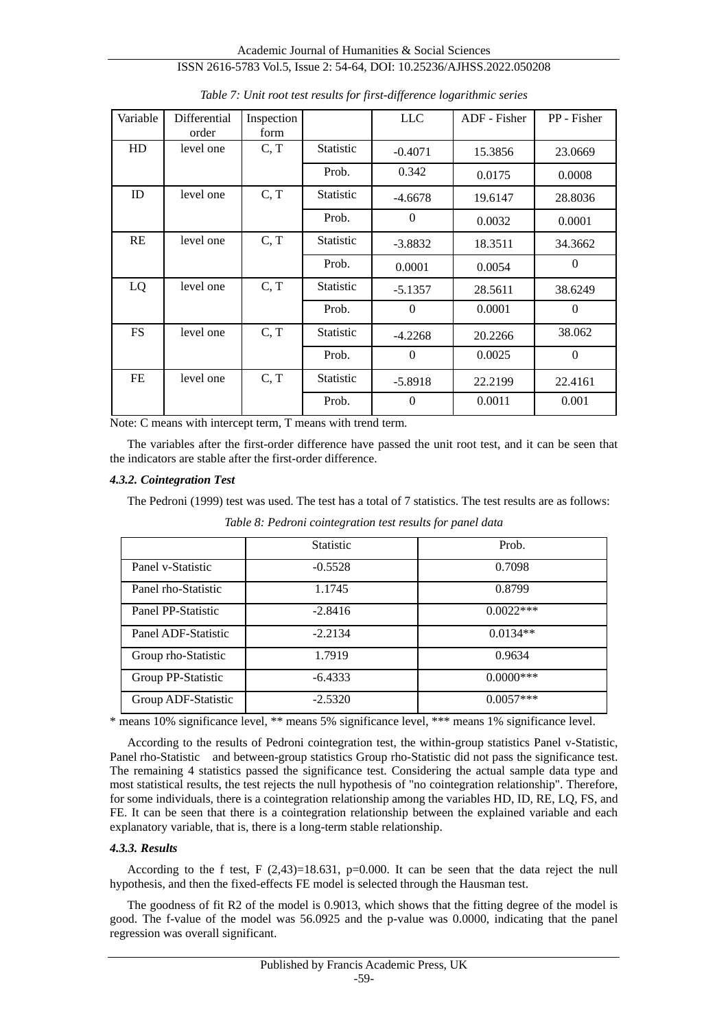Academic Journal of Humanities & Social Sciences ISSN 2616-5783 Vol.5, Issue 2: 54-64, DOI: 10.25236/AJHSS.2022.050208

| Variable  | Differential<br>order | Inspection<br>form |                  | <b>LLC</b>     | ADF - Fisher | PP - Fisher  |
|-----------|-----------------------|--------------------|------------------|----------------|--------------|--------------|
| HD        | level one             | C, T               | <b>Statistic</b> | $-0.4071$      | 15.3856      | 23.0669      |
|           |                       |                    | Prob.            | 0.342          | 0.0175       | 0.0008       |
| ID        | level one             | C, T               | <b>Statistic</b> | $-4.6678$      | 19.6147      | 28.8036      |
|           |                       |                    | Prob.            | $\overline{0}$ | 0.0032       | 0.0001       |
| RE        | level one             | C, T               | <b>Statistic</b> | $-3.8832$      | 18.3511      | 34.3662      |
|           |                       |                    | Prob.            | 0.0001         | 0.0054       | $\Omega$     |
| LQ        | level one             | C, T               | <b>Statistic</b> | $-5.1357$      | 28.5611      | 38.6249      |
|           |                       |                    | Prob.            | $\Omega$       | 0.0001       | $\theta$     |
| <b>FS</b> | level one             | C, T               | <b>Statistic</b> | $-4.2268$      | 20.2266      | 38.062       |
|           |                       |                    | Prob.            | $\theta$       | 0.0025       | $\mathbf{0}$ |
| FE        | level one             | C, T               | <b>Statistic</b> | $-5.8918$      | 22.2199      | 22.4161      |
|           |                       |                    | Prob.            | $\theta$       | 0.0011       | 0.001        |

*Table 7: Unit root test results for first-difference logarithmic series*

Note: C means with intercept term, T means with trend term.

The variables after the first-order difference have passed the unit root test, and it can be seen that the indicators are stable after the first-order difference.

#### *4.3.2. Cointegration Test*

The Pedroni (1999) test was used. The test has a total of 7 statistics. The test results are as follows:

|                     | <b>Statistic</b> | Prob.        |
|---------------------|------------------|--------------|
| Panel v-Statistic   | $-0.5528$        | 0.7098       |
| Panel rho-Statistic | 1.1745           | 0.8799       |
| Panel PP-Statistic  | $-2.8416$        | $0.0022***$  |
| Panel ADF-Statistic | $-2.2134$        | $0.0134**$   |
| Group rho-Statistic | 1.7919           | 0.9634       |
| Group PP-Statistic  | $-6.4333$        | $0.0000$ *** |
| Group ADF-Statistic | $-2.5320$        | $0.0057***$  |

*Table 8: Pedroni cointegration test results for panel data*

\* means 10% significance level, \*\* means 5% significance level, \*\*\* means 1% significance level.

According to the results of Pedroni cointegration test, the within-group statistics Panel v-Statistic, Panel rho-Statistic and between-group statistics Group rho-Statistic did not pass the significance test. The remaining 4 statistics passed the significance test. Considering the actual sample data type and most statistical results, the test rejects the null hypothesis of "no cointegration relationship". Therefore, for some individuals, there is a cointegration relationship among the variables HD, ID, RE, LQ, FS, and FE. It can be seen that there is a cointegration relationship between the explained variable and each explanatory variable, that is, there is a long-term stable relationship.

#### *4.3.3. Results*

According to the f test, F  $(2,43)=18.631$ , p=0.000. It can be seen that the data reject the null hypothesis, and then the fixed-effects FE model is selected through the Hausman test.

The goodness of fit R2 of the model is 0.9013, which shows that the fitting degree of the model is good. The f-value of the model was 56.0925 and the p-value was 0.0000, indicating that the panel regression was overall significant.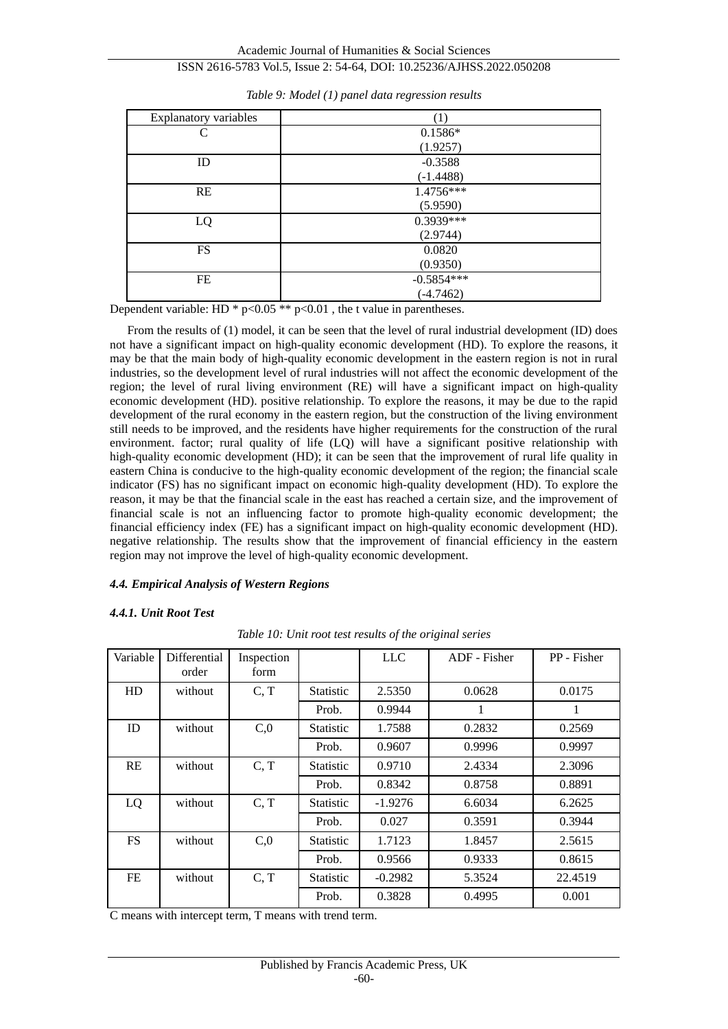Academic Journal of Humanities & Social Sciences

# ISSN 2616-5783 Vol.5, Issue 2: 54-64, DOI: 10.25236/AJHSS.2022.050208

| <b>Explanatory variables</b> | (1)          |
|------------------------------|--------------|
| C                            | $0.1586*$    |
|                              | (1.9257)     |
| ID                           | $-0.3588$    |
|                              | $(-1.4488)$  |
| <b>RE</b>                    | 1.4756***    |
|                              | (5.9590)     |
| LQ                           | 0.3939***    |
|                              | (2.9744)     |
| <b>FS</b>                    | 0.0820       |
|                              | (0.9350)     |
| FE                           | $-0.5854***$ |
|                              | $(-4.7462)$  |

*Table 9: Model (1) panel data regression results*

Dependent variable: HD  $*$  p<0.05  $**$  p<0.01, the t value in parentheses.

From the results of (1) model, it can be seen that the level of rural industrial development (ID) does not have a significant impact on high-quality economic development (HD). To explore the reasons, it may be that the main body of high-quality economic development in the eastern region is not in rural industries, so the development level of rural industries will not affect the economic development of the region; the level of rural living environment (RE) will have a significant impact on high-quality economic development (HD). positive relationship. To explore the reasons, it may be due to the rapid development of the rural economy in the eastern region, but the construction of the living environment still needs to be improved, and the residents have higher requirements for the construction of the rural environment. factor; rural quality of life (LQ) will have a significant positive relationship with high-quality economic development (HD); it can be seen that the improvement of rural life quality in eastern China is conducive to the high-quality economic development of the region; the financial scale indicator (FS) has no significant impact on economic high-quality development (HD). To explore the reason, it may be that the financial scale in the east has reached a certain size, and the improvement of financial scale is not an influencing factor to promote high-quality economic development; the financial efficiency index (FE) has a significant impact on high-quality economic development (HD). negative relationship. The results show that the improvement of financial efficiency in the eastern region may not improve the level of high-quality economic development.

# *4.4. Empirical Analysis of Western Regions*

#### *4.4.1. Unit Root Test*

| Variable  | Differential<br>order | Inspection<br>form |                  | <b>LLC</b> | ADF - Fisher | PP - Fisher |
|-----------|-----------------------|--------------------|------------------|------------|--------------|-------------|
| HD        | without               | C, T               | Statistic        | 2.5350     | 0.0628       | 0.0175      |
|           |                       |                    | Prob.            | 0.9944     | 1            | 1           |
| ID        | without               | C,0                | <b>Statistic</b> | 1.7588     | 0.2832       | 0.2569      |
|           |                       |                    | Prob.            | 0.9607     | 0.9996       | 0.9997      |
| RE        | without               | C, T               | Statistic        | 0.9710     | 2.4334       | 2.3096      |
|           |                       |                    | Prob.            | 0.8342     | 0.8758       | 0.8891      |
| LQ        | without               | C, T               | <b>Statistic</b> | $-1.9276$  | 6.6034       | 6.2625      |
|           |                       |                    | Prob.            | 0.027      | 0.3591       | 0.3944      |
| <b>FS</b> | without               | C,0                | Statistic        | 1.7123     | 1.8457       | 2.5615      |
|           |                       |                    | Prob.            | 0.9566     | 0.9333       | 0.8615      |
| FE        | without               | C, T               | <b>Statistic</b> | $-0.2982$  | 5.3524       | 22.4519     |
|           |                       |                    | Prob.            | 0.3828     | 0.4995       | 0.001       |

*Table 10: Unit root test results of the original series*

C means with intercept term, T means with trend term.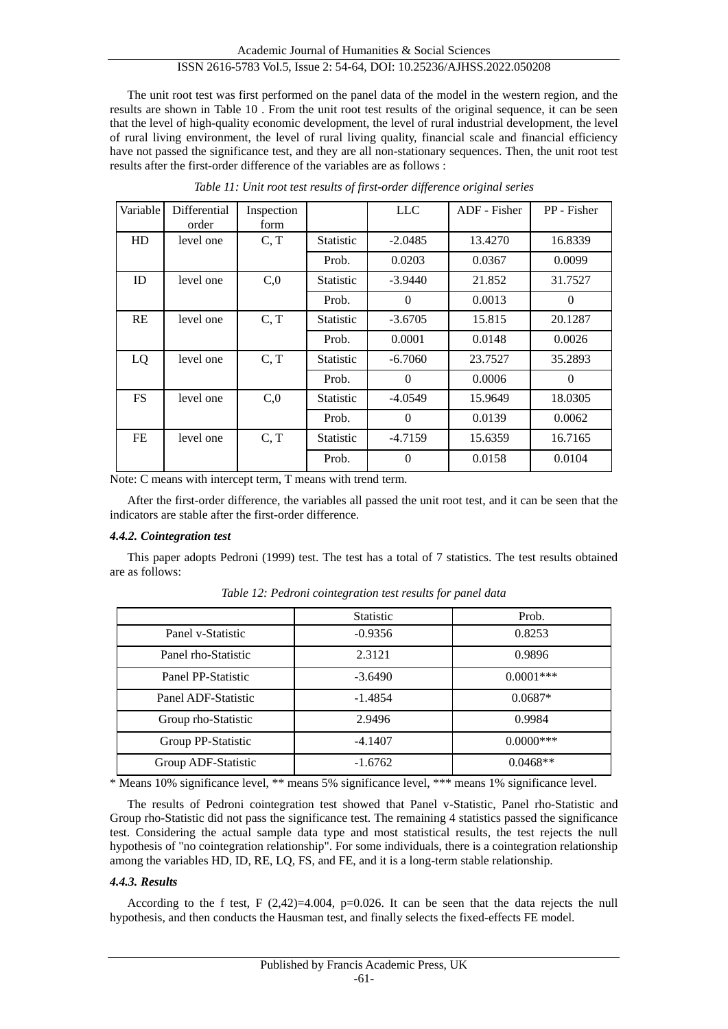The unit root test was first performed on the panel data of the model in the western region, and the results are shown in Table 10 . From the unit root test results of the original sequence, it can be seen that the level of high-quality economic development, the level of rural industrial development, the level of rural living environment, the level of rural living quality, financial scale and financial efficiency have not passed the significance test, and they are all non-stationary sequences. Then, the unit root test results after the first-order difference of the variables are as follows :

| Variable  | Differential<br>order | Inspection<br>form |                  | <b>LLC</b>   | ADF - Fisher | PP - Fisher |
|-----------|-----------------------|--------------------|------------------|--------------|--------------|-------------|
| HD        | level one             | C, T               | <b>Statistic</b> | $-2.0485$    | 13.4270      | 16.8339     |
|           |                       |                    | Prob.            | 0.0203       | 0.0367       | 0.0099      |
| <b>ID</b> | level one             | C,0                | <b>Statistic</b> | $-3.9440$    | 21.852       | 31.7527     |
|           |                       |                    | Prob.            | $\mathbf{0}$ | 0.0013       | $\theta$    |
| <b>RE</b> | level one             | C, T               | <b>Statistic</b> | $-3.6705$    | 15.815       | 20.1287     |
|           |                       |                    | Prob.            | 0.0001       | 0.0148       | 0.0026      |
| LQ        | level one             | C, T               | <b>Statistic</b> | $-6.7060$    | 23.7527      | 35.2893     |
|           |                       |                    | Prob.            | $\mathbf{0}$ | 0.0006       | $\Omega$    |
| FS.       | level one             | C <sub>0</sub>     | <b>Statistic</b> | $-4.0549$    | 15.9649      | 18.0305     |
|           |                       |                    | Prob.            | $\Omega$     | 0.0139       | 0.0062      |
| FE        | level one             | C, T               | <b>Statistic</b> | $-4.7159$    | 15.6359      | 16.7165     |
|           |                       |                    | Prob.            | $\Omega$     | 0.0158       | 0.0104      |

*Table 11: Unit root test results of first-order difference original series*

Note: C means with intercept term, T means with trend term.

After the first-order difference, the variables all passed the unit root test, and it can be seen that the indicators are stable after the first-order difference.

# *4.4.2. Cointegration test*

This paper adopts Pedroni (1999) test. The test has a total of 7 statistics. The test results obtained are as follows:

|                     | <b>Statistic</b> | Prob.       |
|---------------------|------------------|-------------|
| Panel v-Statistic   | $-0.9356$        | 0.8253      |
| Panel rho-Statistic | 2.3121           | 0.9896      |
| Panel PP-Statistic  | $-3.6490$        | $0.0001***$ |
| Panel ADF-Statistic | $-1.4854$        | $0.0687*$   |
| Group rho-Statistic | 2.9496           | 0.9984      |
| Group PP-Statistic  | $-4.1407$        | $0.0000***$ |
| Group ADF-Statistic | $-1.6762$        | $0.0468**$  |

*Table 12: Pedroni cointegration test results for panel data*

\* Means 10% significance level, \*\* means 5% significance level, \*\*\* means 1% significance level.

The results of Pedroni cointegration test showed that Panel v-Statistic, Panel rho-Statistic and Group rho-Statistic did not pass the significance test. The remaining 4 statistics passed the significance test. Considering the actual sample data type and most statistical results, the test rejects the null hypothesis of "no cointegration relationship". For some individuals, there is a cointegration relationship among the variables HD, ID, RE, LQ, FS, and FE, and it is a long-term stable relationship.

#### *4.4.3. Results*

According to the f test, F  $(2,42)=4.004$ , p=0.026. It can be seen that the data rejects the null hypothesis, and then conducts the Hausman test, and finally selects the fixed-effects FE model.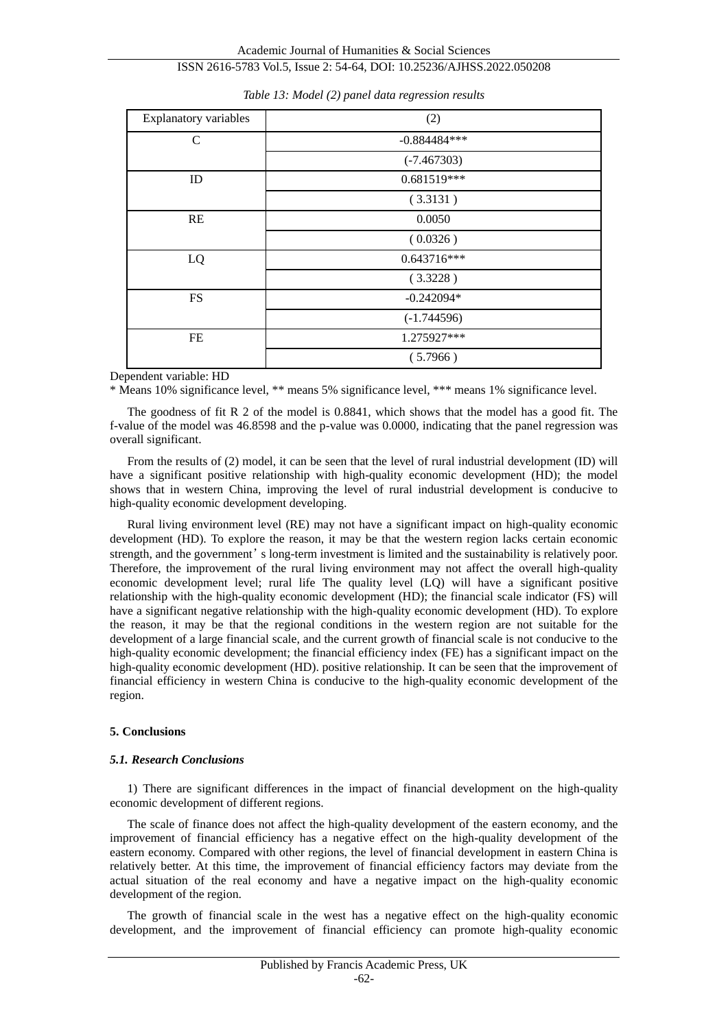Academic Journal of Humanities & Social Sciences ISSN 2616-5783 Vol.5, Issue 2: 54-64, DOI: 10.25236/AJHSS.2022.050208

| Explanatory variables | (2)            |  |  |
|-----------------------|----------------|--|--|
| $\mathcal{C}$         | $-0.884484***$ |  |  |
|                       | $(-7.467303)$  |  |  |
| ID                    | 0.681519***    |  |  |
|                       | (3.3131)       |  |  |
| RE                    | 0.0050         |  |  |
|                       | (0.0326)       |  |  |
| LQ                    | $0.643716***$  |  |  |
|                       | (3.3228)       |  |  |
| <b>FS</b>             | $-0.242094*$   |  |  |
|                       | $(-1.744596)$  |  |  |
| FE                    | 1.275927***    |  |  |
|                       | (5.7966)       |  |  |

*Table 13: Model (2) panel data regression results*

Dependent variable: HD

\* Means 10% significance level, \*\* means 5% significance level, \*\*\* means 1% significance level.

The goodness of fit R 2 of the model is 0.8841, which shows that the model has a good fit. The f-value of the model was 46.8598 and the p-value was 0.0000, indicating that the panel regression was overall significant.

From the results of (2) model, it can be seen that the level of rural industrial development (ID) will have a significant positive relationship with high-quality economic development (HD); the model shows that in western China, improving the level of rural industrial development is conducive to high-quality economic development developing.

Rural living environment level (RE) may not have a significant impact on high-quality economic development (HD). To explore the reason, it may be that the western region lacks certain economic strength, and the government's long-term investment is limited and the sustainability is relatively poor. Therefore, the improvement of the rural living environment may not affect the overall high-quality economic development level; rural life The quality level (LQ) will have a significant positive relationship with the high-quality economic development (HD); the financial scale indicator (FS) will have a significant negative relationship with the high-quality economic development (HD). To explore the reason, it may be that the regional conditions in the western region are not suitable for the development of a large financial scale, and the current growth of financial scale is not conducive to the high-quality economic development; the financial efficiency index (FE) has a significant impact on the high-quality economic development (HD). positive relationship. It can be seen that the improvement of financial efficiency in western China is conducive to the high-quality economic development of the region.

#### **5. Conclusions**

#### *5.1. Research Conclusions*

1) There are significant differences in the impact of financial development on the high-quality economic development of different regions.

The scale of finance does not affect the high-quality development of the eastern economy, and the improvement of financial efficiency has a negative effect on the high-quality development of the eastern economy. Compared with other regions, the level of financial development in eastern China is relatively better. At this time, the improvement of financial efficiency factors may deviate from the actual situation of the real economy and have a negative impact on the high-quality economic development of the region.

The growth of financial scale in the west has a negative effect on the high-quality economic development, and the improvement of financial efficiency can promote high-quality economic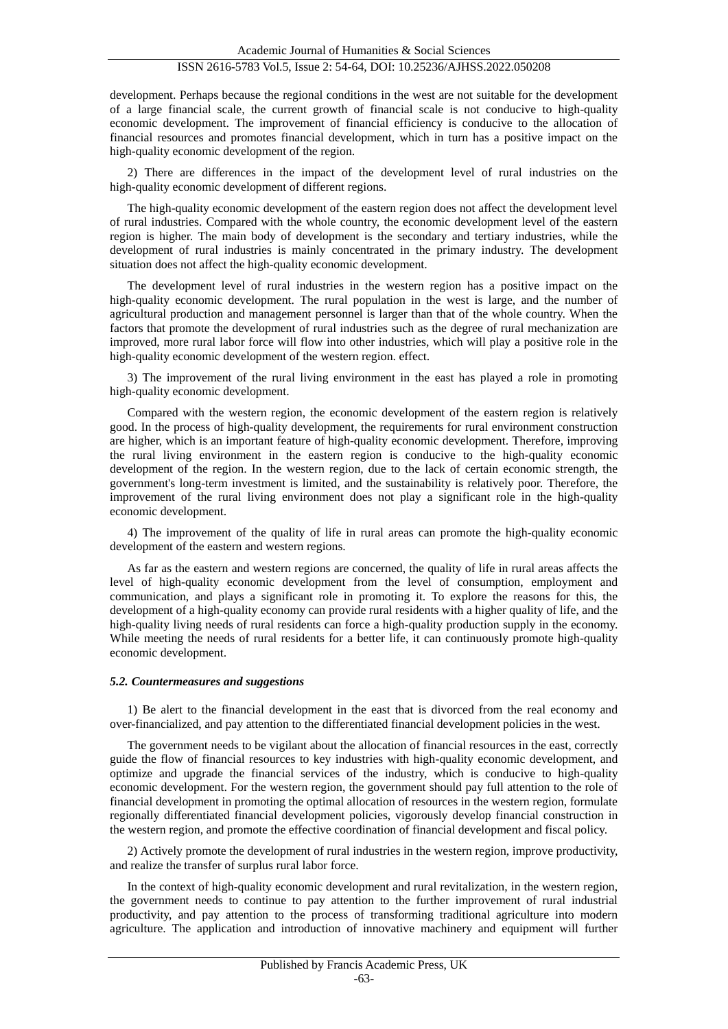development. Perhaps because the regional conditions in the west are not suitable for the development of a large financial scale, the current growth of financial scale is not conducive to high-quality economic development. The improvement of financial efficiency is conducive to the allocation of financial resources and promotes financial development, which in turn has a positive impact on the high-quality economic development of the region.

2) There are differences in the impact of the development level of rural industries on the high-quality economic development of different regions.

The high-quality economic development of the eastern region does not affect the development level of rural industries. Compared with the whole country, the economic development level of the eastern region is higher. The main body of development is the secondary and tertiary industries, while the development of rural industries is mainly concentrated in the primary industry. The development situation does not affect the high-quality economic development.

The development level of rural industries in the western region has a positive impact on the high-quality economic development. The rural population in the west is large, and the number of agricultural production and management personnel is larger than that of the whole country. When the factors that promote the development of rural industries such as the degree of rural mechanization are improved, more rural labor force will flow into other industries, which will play a positive role in the high-quality economic development of the western region. effect.

3) The improvement of the rural living environment in the east has played a role in promoting high-quality economic development.

Compared with the western region, the economic development of the eastern region is relatively good. In the process of high-quality development, the requirements for rural environment construction are higher, which is an important feature of high-quality economic development. Therefore, improving the rural living environment in the eastern region is conducive to the high-quality economic development of the region. In the western region, due to the lack of certain economic strength, the government's long-term investment is limited, and the sustainability is relatively poor. Therefore, the improvement of the rural living environment does not play a significant role in the high-quality economic development.

4) The improvement of the quality of life in rural areas can promote the high-quality economic development of the eastern and western regions.

As far as the eastern and western regions are concerned, the quality of life in rural areas affects the level of high-quality economic development from the level of consumption, employment and communication, and plays a significant role in promoting it. To explore the reasons for this, the development of a high-quality economy can provide rural residents with a higher quality of life, and the high-quality living needs of rural residents can force a high-quality production supply in the economy. While meeting the needs of rural residents for a better life, it can continuously promote high-quality economic development.

#### *5.2. Countermeasures and suggestions*

1) Be alert to the financial development in the east that is divorced from the real economy and over-financialized, and pay attention to the differentiated financial development policies in the west.

The government needs to be vigilant about the allocation of financial resources in the east, correctly guide the flow of financial resources to key industries with high-quality economic development, and optimize and upgrade the financial services of the industry, which is conducive to high-quality economic development. For the western region, the government should pay full attention to the role of financial development in promoting the optimal allocation of resources in the western region, formulate regionally differentiated financial development policies, vigorously develop financial construction in the western region, and promote the effective coordination of financial development and fiscal policy.

2) Actively promote the development of rural industries in the western region, improve productivity, and realize the transfer of surplus rural labor force.

In the context of high-quality economic development and rural revitalization, in the western region, the government needs to continue to pay attention to the further improvement of rural industrial productivity, and pay attention to the process of transforming traditional agriculture into modern agriculture. The application and introduction of innovative machinery and equipment will further